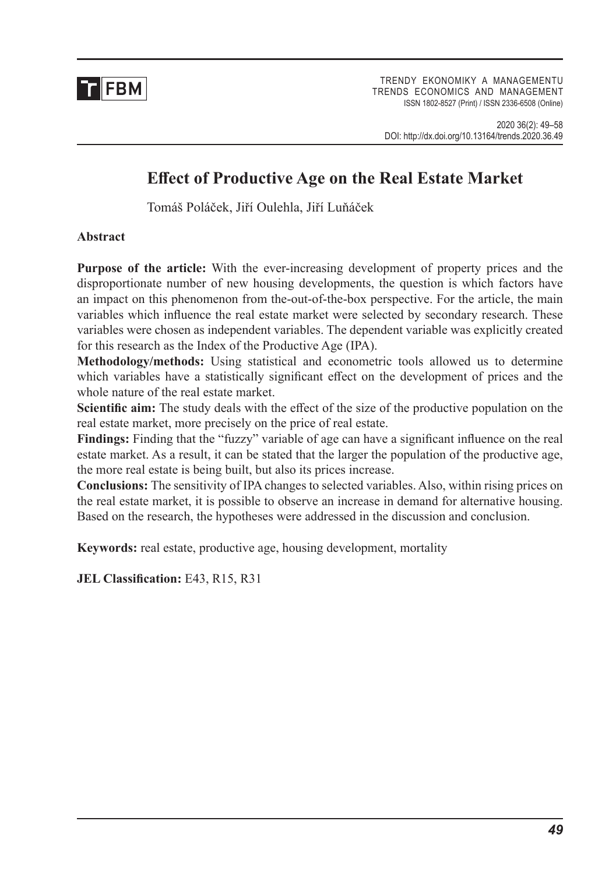

TRENDY EKONOMIKY A MANAGEMENTU TRENDS ECONOMICS AND MANAGEMENT ISSN 1802-8527 (Print) / ISSN 2336-6508 (Online)

# **Effect of Productive Age on the Real Estate Market**

Tomáš Poláček, Jiří Oulehla, Jiří Luňáček

### **Abstract**

**Purpose of the article:** With the ever-increasing development of property prices and the disproportionate number of new housing developments, the question is which factors have an impact on this phenomenon from the-out-of-the-box perspective. For the article, the main variables which influence the real estate market were selected by secondary research. These variables were chosen as independent variables. The dependent variable was explicitly created for this research as the Index of the Productive Age (IPA).

**Methodology/methods:** Using statistical and econometric tools allowed us to determine which variables have a statistically significant effect on the development of prices and the whole nature of the real estate market.

**Scientific aim:** The study deals with the effect of the size of the productive population on the real estate market, more precisely on the price of real estate.

**Findings:** Finding that the "fuzzy" variable of age can have a significant influence on the real estate market. As a result, it can be stated that the larger the population of the productive age, the more real estate is being built, but also its prices increase.

**Conclusions:** The sensitivity of IPA changes to selected variables. Also, within rising prices on the real estate market, it is possible to observe an increase in demand for alternative housing. Based on the research, the hypotheses were addressed in the discussion and conclusion.

**Keywords:** real estate, productive age, housing development, mortality

**JEL Classification:** E43, R15, R31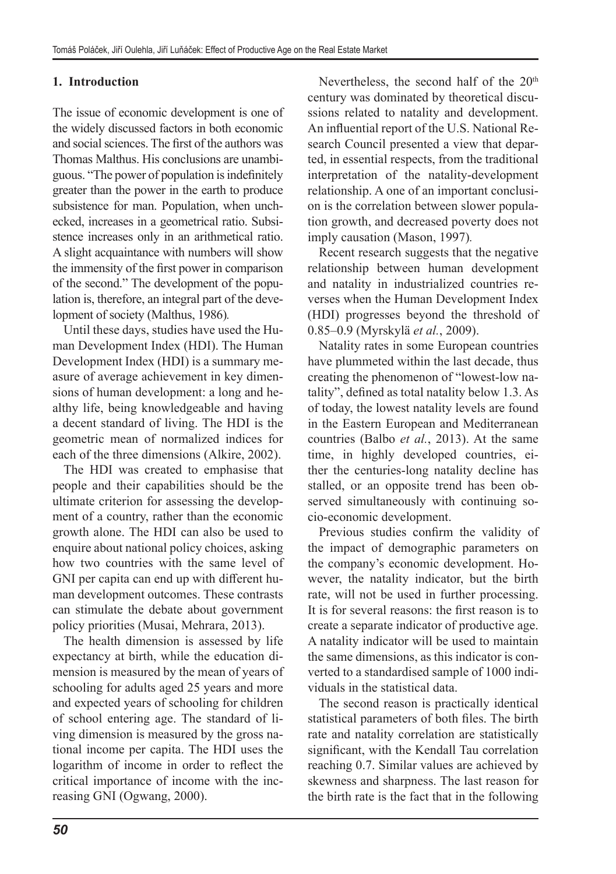### **1. Introduction**

The issue of economic development is one of the widely discussed factors in both economic and social sciences. The first of the authors was Thomas Malthus. His conclusions are unambiguous. "The power of population is indefinitely greater than the power in the earth to produce subsistence for man. Population, when unchecked, increases in a geometrical ratio. Subsistence increases only in an arithmetical ratio. A slight acquaintance with numbers will show the immensity of the first power in comparison of the second." The development of the population is, therefore, an integral part of the development of society (Malthus, 1986)*.*

Until these days, studies have used the Human Development Index (HDI). The Human Development Index (HDI) is a summary measure of average achievement in key dimensions of human development: a long and healthy life, being knowledgeable and having a decent standard of living. The HDI is the geometric mean of normalized indices for each of the three dimensions (Alkire, 2002).

The HDI was created to emphasise that people and their capabilities should be the ultimate criterion for assessing the development of a country, rather than the economic growth alone. The HDI can also be used to enquire about national policy choices, asking how two countries with the same level of GNI per capita can end up with different human development outcomes. These contrasts can stimulate the debate about government policy priorities (Musai, Mehrara, 2013).

The health dimension is assessed by life expectancy at birth, while the education dimension is measured by the mean of years of schooling for adults aged 25 years and more and expected years of schooling for children of school entering age. The standard of living dimension is measured by the gross national income per capita. The HDI uses the logarithm of income in order to reflect the critical importance of income with the increasing GNI (Ogwang, 2000).

Nevertheless, the second half of the  $20<sup>th</sup>$ century was dominated by theoretical discussions related to natality and development. An influential report of the U.S. National Research Council presented a view that departed, in essential respects, from the traditional interpretation of the natality-development relationship. A one of an important conclusion is the correlation between slower population growth, and decreased poverty does not imply causation (Mason, 1997)*.*

Recent research suggests that the negative relationship between human development and natality in industrialized countries reverses when the Human Development Index (HDI) progresses beyond the threshold of 0.85–0.9 (Myrskylä *et al.*, 2009).

Natality rates in some European countries have plummeted within the last decade, thus creating the phenomenon of "lowest-low natality", defined as total natality below 1.3. As of today, the lowest natality levels are found in the Eastern European and Mediterranean countries (Balbo *et al.*, 2013). At the same time, in highly developed countries, either the centuries-long natality decline has stalled, or an opposite trend has been observed simultaneously with continuing socio-economic development.

Previous studies confirm the validity of the impact of demographic parameters on the company's economic development. However, the natality indicator, but the birth rate, will not be used in further processing. It is for several reasons: the first reason is to create a separate indicator of productive age. A natality indicator will be used to maintain the same dimensions, as this indicator is converted to a standardised sample of 1000 individuals in the statistical data.

The second reason is practically identical statistical parameters of both files. The birth rate and natality correlation are statistically significant, with the Kendall Tau correlation reaching 0.7. Similar values are achieved by skewness and sharpness. The last reason for the birth rate is the fact that in the following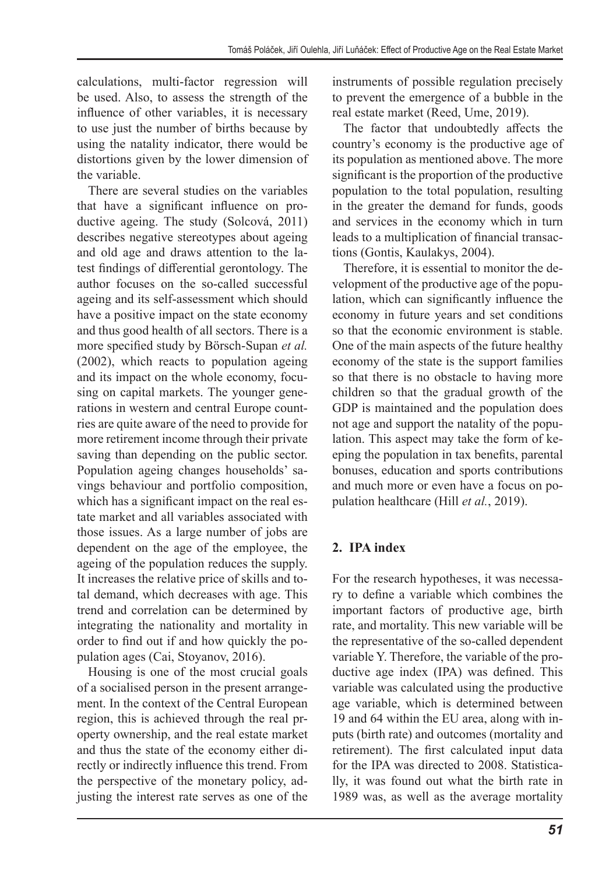calculations, multi-factor regression will be used. Also, to assess the strength of the influence of other variables, it is necessary to use just the number of births because by using the natality indicator, there would be distortions given by the lower dimension of the variable.

There are several studies on the variables that have a significant influence on productive ageing. The study (Solcová, 2011) describes negative stereotypes about ageing and old age and draws attention to the latest findings of differential gerontology. The author focuses on the so-called successful ageing and its self-assessment which should have a positive impact on the state economy and thus good health of all sectors. There is a more specified study by Börsch-Supan *et al.* (2002), which reacts to population ageing and its impact on the whole economy, focusing on capital markets. The younger generations in western and central Europe countries are quite aware of the need to provide for more retirement income through their private saving than depending on the public sector. Population ageing changes households' savings behaviour and portfolio composition, which has a significant impact on the real estate market and all variables associated with those issues. As a large number of jobs are dependent on the age of the employee, the ageing of the population reduces the supply. It increases the relative price of skills and total demand, which decreases with age. This trend and correlation can be determined by integrating the nationality and mortality in order to find out if and how quickly the population ages (Cai, Stoyanov, 2016).

Housing is one of the most crucial goals of a socialised person in the present arrangement. In the context of the Central European region, this is achieved through the real property ownership, and the real estate market and thus the state of the economy either directly or indirectly influence this trend. From the perspective of the monetary policy, adjusting the interest rate serves as one of the instruments of possible regulation precisely to prevent the emergence of a bubble in the real estate market (Reed, Ume, 2019).

The factor that undoubtedly affects the country's economy is the productive age of its population as mentioned above. The more significant is the proportion of the productive population to the total population, resulting in the greater the demand for funds, goods and services in the economy which in turn leads to a multiplication of financial transactions (Gontis, Kaulakys, 2004).

Therefore, it is essential to monitor the development of the productive age of the population, which can significantly influence the economy in future years and set conditions so that the economic environment is stable. One of the main aspects of the future healthy economy of the state is the support families so that there is no obstacle to having more children so that the gradual growth of the GDP is maintained and the population does not age and support the natality of the population. This aspect may take the form of keeping the population in tax benefits, parental bonuses, education and sports contributions and much more or even have a focus on population healthcare (Hill *et al.*, 2019).

# **2. IPA index**

For the research hypotheses, it was necessary to define a variable which combines the important factors of productive age, birth rate, and mortality. This new variable will be the representative of the so-called dependent variable Y. Therefore, the variable of the productive age index (IPA) was defined. This variable was calculated using the productive age variable, which is determined between 19 and 64 within the EU area, along with inputs (birth rate) and outcomes (mortality and retirement). The first calculated input data for the IPA was directed to 2008. Statistically, it was found out what the birth rate in 1989 was, as well as the average mortality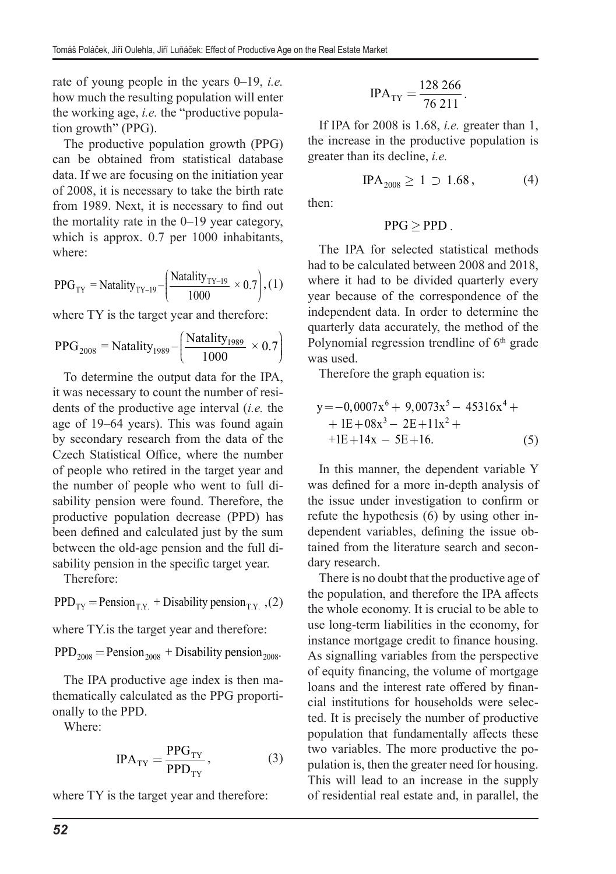rate of young people in the years 0–19, *i.e.* how much the resulting population will enter the working age, *i.e.* the "productive population growth" (PPG).

The productive population growth (PPG) can be obtained from statistical database data. If we are focusing on the initiation year of 2008, it is necessary to take the birth rate from 1989. Next, it is necessary to find out the mortality rate in the 0–19 year category, which is approx. 0.7 per 1000 inhabitants, where:

$$
PPG_{TY} = \text{Natality}_{TY-19} - \left(\frac{\text{Natality}_{TY-19}}{1000} \times 0.7\right), (1)
$$

where TY is the target year and therefore:

$$
PPG_{2008} = \text{Natality}_{1989} - \left(\frac{\text{Natality}_{1989}}{1000} \times 0.7\right)
$$

To determine the output data for the IPA, it was necessary to count the number of residents of the productive age interval (*i.e.* the age of 19–64 years). This was found again by secondary research from the data of the Czech Statistical Office, where the number of people who retired in the target year and the number of people who went to full disability pension were found. Therefore, the productive population decrease (PPD) has been defined and calculated just by the sum between the old-age pension and the full disability pension in the specific target year.

Therefore:

 $PPD_{TY} = \text{Pension}_{TX} + \text{Disability pension}_{TX}$ , (2)

where TY.is the target year and therefore:

 $PPD_{2008} =$  Pension<sub>2008</sub> + Disability pension<sub>2008</sub>.

The IPA productive age index is then mathematically calculated as the PPG proportionally to the PPD.

Where:

$$
IPA_{\text{TY}} = \frac{PPG_{\text{TY}}}{PPD_{\text{TY}}},\tag{3}
$$

where TY is the target year and therefore:

$$
IPA_{TY} = \frac{128\,266}{76\,211}.
$$

If IPA for 2008 is 1.68, *i.e.* greater than 1, the increase in the productive population is greater than its decline, *i.e.*

$$
IPA_{2008} \ge 1 \supset 1.68, \tag{4}
$$

then:

# $PPG \geq PPD$ .

The IPA for selected statistical methods had to be calculated between 2008 and 2018, where it had to be divided quarterly every year because of the correspondence of the independent data. In order to determine the quarterly data accurately, the method of the Polynomial regression trendline of  $6<sup>th</sup>$  grade was used.

Therefore the graph equation is:

$$
y = -0,0007x^{6} + 9,0073x^{5} - 45316x^{4} ++ 1E + 08x^{3} - 2E + 11x^{2} ++ 1E + 14x - 5E + 16.
$$
 (5)

In this manner, the dependent variable Y was defined for a more in-depth analysis of the issue under investigation to confirm or refute the hypothesis (6) by using other independent variables, defining the issue obtained from the literature search and secondary research.

There is no doubt that the productive age of the population, and therefore the IPA affects the whole economy. It is crucial to be able to use long-term liabilities in the economy, for instance mortgage credit to finance housing. As signalling variables from the perspective of equity financing, the volume of mortgage loans and the interest rate offered by financial institutions for households were selected. It is precisely the number of productive population that fundamentally affects these two variables. The more productive the population is, then the greater need for housing. This will lead to an increase in the supply of residential real estate and, in parallel, the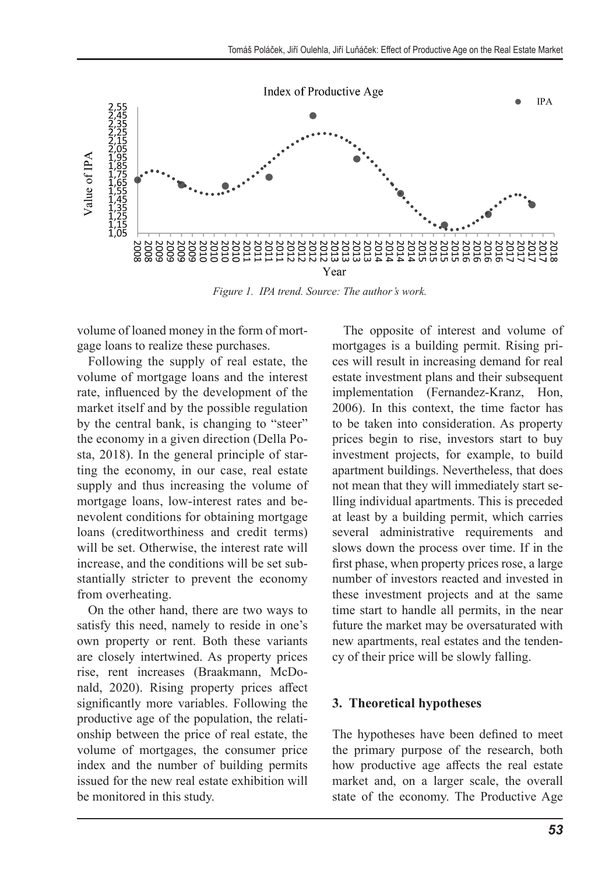

*Figure 1. IPA trend. Source: The author's work.*

volume of loaned money in the form of mortgage loans to realize these purchases.

Following the supply of real estate, the volume of mortgage loans and the interest rate, influenced by the development of the market itself and by the possible regulation by the central bank, is changing to "steer" the economy in a given direction (Della Posta, 2018). In the general principle of starting the economy, in our case, real estate supply and thus increasing the volume of mortgage loans, low-interest rates and benevolent conditions for obtaining mortgage loans (creditworthiness and credit terms) will be set. Otherwise, the interest rate will increase, and the conditions will be set substantially stricter to prevent the economy from overheating.

On the other hand, there are two ways to satisfy this need, namely to reside in one's own property or rent. Both these variants are closely intertwined. As property prices rise, rent increases (Braakmann, McDonald, 2020). Rising property prices affect significantly more variables. Following the productive age of the population, the relationship between the price of real estate, the volume of mortgages, the consumer price index and the number of building permits issued for the new real estate exhibition will be monitored in this study.

The opposite of interest and volume of mortgages is a building permit. Rising prices will result in increasing demand for real estate investment plans and their subsequent implementation (Fernandez-Kranz, Hon, 2006). In this context, the time factor has to be taken into consideration. As property prices begin to rise, investors start to buy investment projects, for example, to build apartment buildings. Nevertheless, that does not mean that they will immediately start selling individual apartments. This is preceded at least by a building permit, which carries several administrative requirements and slows down the process over time. If in the first phase, when property prices rose, a large number of investors reacted and invested in these investment projects and at the same time start to handle all permits, in the near future the market may be oversaturated with new apartments, real estates and the tendency of their price will be slowly falling.

#### **3. Theoretical hypotheses**

The hypotheses have been defined to meet the primary purpose of the research, both how productive age affects the real estate market and, on a larger scale, the overall state of the economy. The Productive Age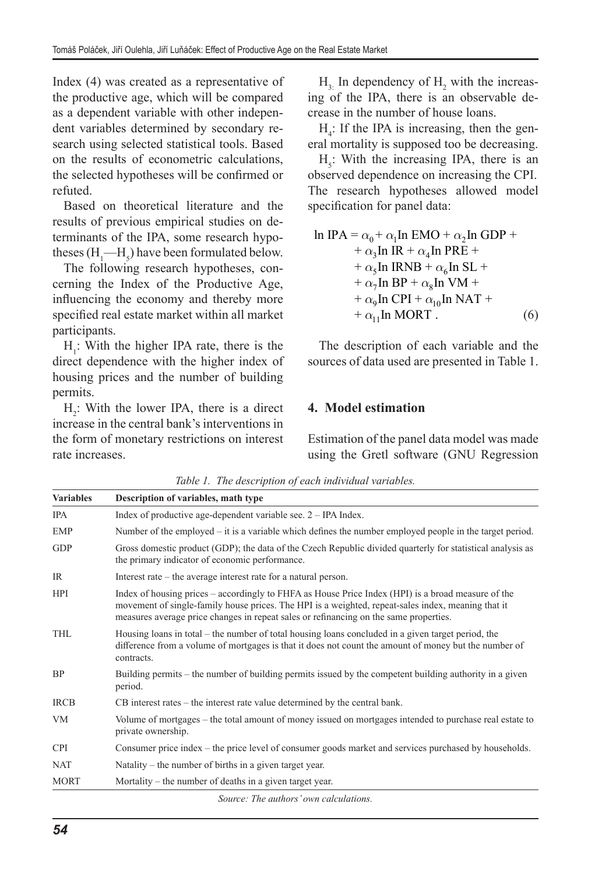Index (4) was created as a representative of the productive age, which will be compared as a dependent variable with other independent variables determined by secondary research using selected statistical tools. Based on the results of econometric calculations, the selected hypotheses will be confirmed or refuted.

Based on theoretical literature and the results of previous empirical studies on determinants of the IPA, some research hypotheses  $(H_1$ — $H_5$ ) have been formulated below.

The following research hypotheses, concerning the Index of the Productive Age, influencing the economy and thereby more specified real estate market within all market participants.

 $H_1$ : With the higher IPA rate, there is the direct dependence with the higher index of housing prices and the number of building permits.

 $H_2$ : With the lower IPA, there is a direct increase in the central bank's interventions in the form of monetary restrictions on interest rate increases.

 $H_{3}$ : In dependency of  $H_2$  with the increasing of the IPA, there is an observable decrease in the number of house loans.

 $H_4$ : If the IPA is increasing, then the general mortality is supposed too be decreasing.

 $H<sub>5</sub>$ : With the increasing IPA, there is an observed dependence on increasing the CPI. The research hypotheses allowed model specification for panel data:

$$
\ln \text{IPA} = \alpha_0 + \alpha_1 \text{In EMO} + \alpha_2 \text{In GDP} ++ \alpha_3 \text{In IR} + \alpha_4 \text{In PRE} ++ \alpha_5 \text{In IRNB} + \alpha_6 \text{In SL} ++ \alpha_7 \text{In BP} + \alpha_8 \text{In VM} ++ \alpha_9 \text{In CPL} + \alpha_{10} \text{In NAT} ++ \alpha_{11} \text{In MORT} .
$$
 (6)

The description of each variable and the sources of data used are presented in Table 1.

# **4. Model estimation**

Estimation of the panel data model was made using the Gretl software (GNU Regression

| <b>Variables</b> | Description of variables, math type                                                                                                                                                                                                                                                               |
|------------------|---------------------------------------------------------------------------------------------------------------------------------------------------------------------------------------------------------------------------------------------------------------------------------------------------|
| <b>IPA</b>       | Index of productive age-dependent variable see. 2 – IPA Index.                                                                                                                                                                                                                                    |
| <b>EMP</b>       | Number of the employed – it is a variable which defines the number employed people in the target period.                                                                                                                                                                                          |
| <b>GDP</b>       | Gross domestic product (GDP); the data of the Czech Republic divided quarterly for statistical analysis as<br>the primary indicator of economic performance.                                                                                                                                      |
| IR               | Interest rate – the average interest rate for a natural person.                                                                                                                                                                                                                                   |
| <b>HPI</b>       | Index of housing prices – accordingly to FHFA as House Price Index (HPI) is a broad measure of the<br>movement of single-family house prices. The HPI is a weighted, repeat-sales index, meaning that it<br>measures average price changes in repeat sales or refinancing on the same properties. |
| <b>THL</b>       | Housing loans in total – the number of total housing loans concluded in a given target period, the<br>difference from a volume of mortgages is that it does not count the amount of money but the number of<br>contracts.                                                                         |
| <b>BP</b>        | Building permits – the number of building permits issued by the competent building authority in a given<br>period.                                                                                                                                                                                |
| <b>IRCB</b>      | CB interest rates – the interest rate value determined by the central bank.                                                                                                                                                                                                                       |
| <b>VM</b>        | Volume of mortgages – the total amount of money issued on mortgages intended to purchase real estate to<br>private ownership.                                                                                                                                                                     |
| <b>CPI</b>       | Consumer price index – the price level of consumer goods market and services purchased by households.                                                                                                                                                                                             |
| <b>NAT</b>       | Natality – the number of births in a given target year.                                                                                                                                                                                                                                           |
| <b>MORT</b>      | Mortality $-$ the number of deaths in a given target year.                                                                                                                                                                                                                                        |

*Table 1. The description of each individual variables.*

*Source: The authors' own calculations.*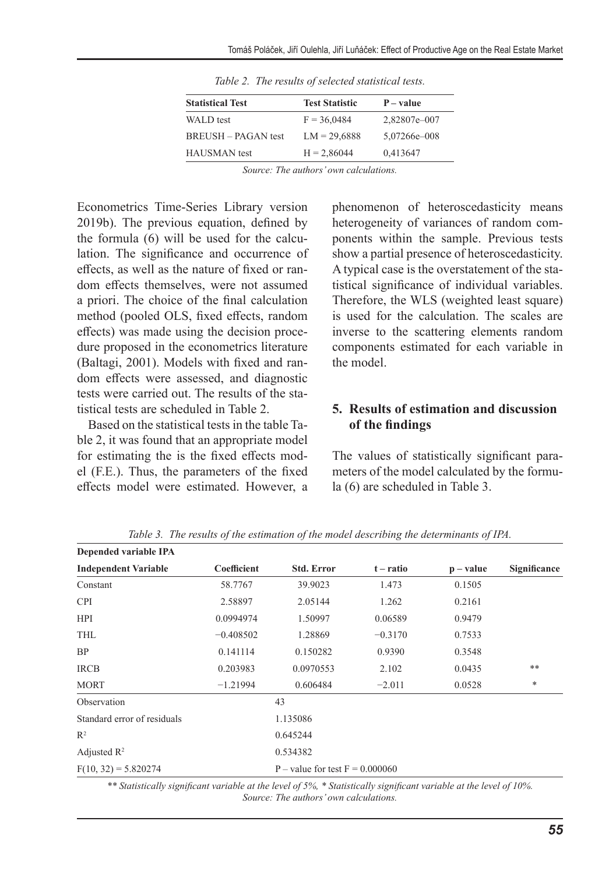| <b>Statistical Test</b> | <b>Test Statistic</b> | $P-value$    |  |
|-------------------------|-----------------------|--------------|--|
| WALD test               | $F = 36,0484$         | 2,82807e-007 |  |
| $RREUSH - PAGAN$ test   | $LM = 29.6888$        | 5,07266e-008 |  |
| <b>HAUSMAN</b> test     | $H = 2,86044$         | 0.413647     |  |

*Table 2. The results of selected statistical tests.*

*Source: The authors' own calculations.*

Econometrics Time-Series Library version 2019b). The previous equation, defined by the formula (6) will be used for the calculation. The significance and occurrence of effects, as well as the nature of fixed or random effects themselves, were not assumed a priori. The choice of the final calculation method (pooled OLS, fixed effects, random effects) was made using the decision procedure proposed in the econometrics literature (Baltagi, 2001). Models with fixed and random effects were assessed, and diagnostic tests were carried out. The results of the statistical tests are scheduled in Table 2.

Based on the statistical tests in the table Table 2, it was found that an appropriate model for estimating the is the fixed effects model (F.E.). Thus, the parameters of the fixed effects model were estimated. However, a phenomenon of heteroscedasticity means heterogeneity of variances of random components within the sample. Previous tests show a partial presence of heteroscedasticity. A typical case is the overstatement of the statistical significance of individual variables. Therefore, the WLS (weighted least square) is used for the calculation. The scales are inverse to the scattering elements random components estimated for each variable in the model.

### **5. Results of estimation and discussion of the findings**

The values of statistically significant parameters of the model calculated by the formula (6) are scheduled in Table 3.

|                             |             |                                   | ັ           |             |              |  |  |  |
|-----------------------------|-------------|-----------------------------------|-------------|-------------|--------------|--|--|--|
| Depended variable IPA       |             |                                   |             |             |              |  |  |  |
| <b>Independent Variable</b> | Coefficient | <b>Std. Error</b>                 | $t - ratio$ | $p - value$ | Significance |  |  |  |
| Constant                    | 58.7767     | 39.9023                           | 1.473       | 0.1505      |              |  |  |  |
| <b>CPI</b>                  | 2.58897     | 2.05144                           | 1.262       | 0.2161      |              |  |  |  |
| <b>HPI</b>                  | 0.0994974   | 1.50997                           | 0.06589     | 0.9479      |              |  |  |  |
| <b>THL</b>                  | $-0.408502$ | 1.28869                           | $-0.3170$   | 0.7533      |              |  |  |  |
| <b>BP</b>                   | 0.141114    | 0.150282                          | 0.9390      | 0.3548      |              |  |  |  |
| <b>IRCB</b>                 | 0.203983    | 0.0970553                         | 2.102       | 0.0435      | $***$        |  |  |  |
| <b>MORT</b>                 | $-1.21994$  | 0.606484                          | $-2.011$    | 0.0528      | *            |  |  |  |
| Observation                 |             | 43                                |             |             |              |  |  |  |
| Standard error of residuals |             | 1.135086                          |             |             |              |  |  |  |
| R <sup>2</sup>              |             | 0.645244                          |             |             |              |  |  |  |
| Adjusted $\mathbb{R}^2$     |             | 0.534382                          |             |             |              |  |  |  |
| $F(10, 32) = 5.820274$      |             | P – value for test $F = 0.000060$ |             |             |              |  |  |  |
|                             |             |                                   |             |             |              |  |  |  |

*Table 3. The results of the estimation of the model describing the determinants of IPA.*

*\*\* Statistically significant variable at the level of 5%, \* Statistically significant variable at the level of 10%. Source: The authors' own calculations.*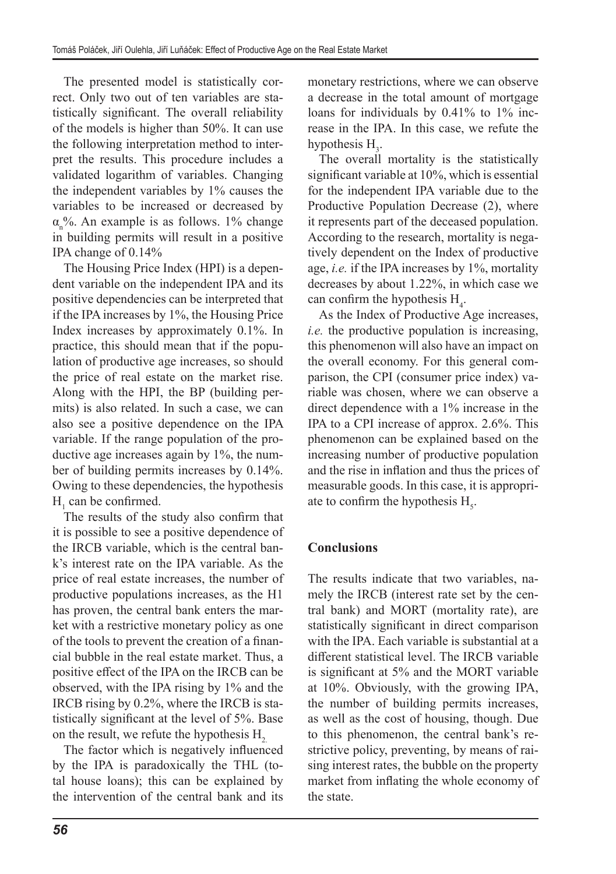The presented model is statistically correct. Only two out of ten variables are statistically significant. The overall reliability of the models is higher than 50%. It can use the following interpretation method to interpret the results. This procedure includes a validated logarithm of variables. Changing the independent variables by 1% causes the variables to be increased or decreased by  $\alpha_{n}^{\prime\prime}$ %. An example is as follows. 1% change in building permits will result in a positive IPA change of 0.14%

The Housing Price Index (HPI) is a dependent variable on the independent IPA and its positive dependencies can be interpreted that if the IPA increases by 1%, the Housing Price Index increases by approximately 0.1%. In practice, this should mean that if the population of productive age increases, so should the price of real estate on the market rise. Along with the HPI, the BP (building permits) is also related. In such a case, we can also see a positive dependence on the IPA variable. If the range population of the productive age increases again by 1%, the number of building permits increases by 0.14%. Owing to these dependencies, the hypothesis  $H_1$  can be confirmed.

The results of the study also confirm that it is possible to see a positive dependence of the IRCB variable, which is the central bank's interest rate on the IPA variable. As the price of real estate increases, the number of productive populations increases, as the H1 has proven, the central bank enters the market with a restrictive monetary policy as one of the tools to prevent the creation of a financial bubble in the real estate market. Thus, a positive effect of the IPA on the IRCB can be observed, with the IPA rising by 1% and the IRCB rising by 0.2%, where the IRCB is statistically significant at the level of 5%. Base on the result, we refute the hypothesis  $H<sub>2</sub>$ .

The factor which is negatively influenced by the IPA is paradoxically the THL (total house loans); this can be explained by the intervention of the central bank and its

monetary restrictions, where we can observe a decrease in the total amount of mortgage loans for individuals by 0.41% to 1% increase in the IPA. In this case, we refute the hypothesis  $H_3$ .

The overall mortality is the statistically significant variable at 10%, which is essential for the independent IPA variable due to the Productive Population Decrease (2), where it represents part of the deceased population. According to the research, mortality is negatively dependent on the Index of productive age, *i.e.* if the IPA increases by 1%, mortality decreases by about 1.22%, in which case we can confirm the hypothesis  $H_4$ .

As the Index of Productive Age increases, *i.e.* the productive population is increasing, this phenomenon will also have an impact on the overall economy. For this general comparison, the CPI (consumer price index) variable was chosen, where we can observe a direct dependence with a 1% increase in the IPA to a CPI increase of approx. 2.6%. This phenomenon can be explained based on the increasing number of productive population and the rise in inflation and thus the prices of measurable goods. In this case, it is appropriate to confirm the hypothesis  $H_s$ .

# **Conclusions**

The results indicate that two variables, namely the IRCB (interest rate set by the central bank) and MORT (mortality rate), are statistically significant in direct comparison with the IPA. Each variable is substantial at a different statistical level. The IRCB variable is significant at 5% and the MORT variable at 10%. Obviously, with the growing IPA, the number of building permits increases, as well as the cost of housing, though. Due to this phenomenon, the central bank's restrictive policy, preventing, by means of raising interest rates, the bubble on the property market from inflating the whole economy of the state.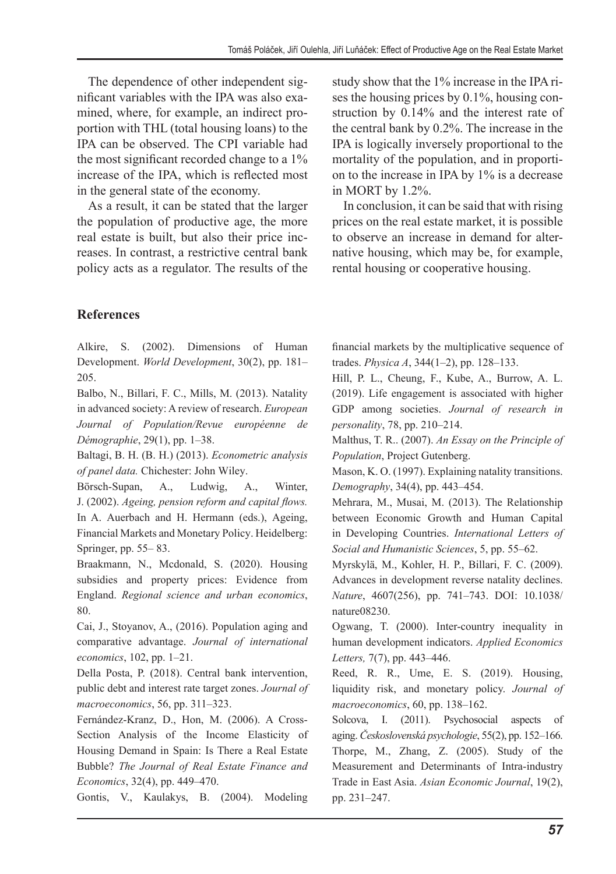The dependence of other independent significant variables with the IPA was also examined, where, for example, an indirect proportion with THL (total housing loans) to the IPA can be observed. The CPI variable had the most significant recorded change to a 1% increase of the IPA, which is reflected most in the general state of the economy.

As a result, it can be stated that the larger the population of productive age, the more real estate is built, but also their price increases. In contrast, a restrictive central bank policy acts as a regulator. The results of the study show that the 1% increase in the IPA rises the housing prices by 0.1%, housing construction by 0.14% and the interest rate of the central bank by 0.2%. The increase in the IPA is logically inversely proportional to the mortality of the population, and in proportion to the increase in IPA by 1% is a decrease in MORT by 1.2%.

In conclusion, it can be said that with rising prices on the real estate market, it is possible to observe an increase in demand for alternative housing, which may be, for example, rental housing or cooperative housing.

# **References**

Alkire, S. (2002). Dimensions of Human Development. *World Development*, 30(2), pp. 181– 205.

Balbo, N., Billari, F. C., Mills, M. (2013). Natality in advanced society: A review of research. *European Journal of Population/Revue européenne de Démographie*, 29(1), pp. 1–38.

Baltagi, B. H. (B. H.) (2013). *Econometric analysis of panel data.* Chichester: John Wiley.

Börsch-Supan, A., Ludwig, A., Winter, J. (2002). *Ageing, pension reform and capital flows.*  In A. Auerbach and H. Hermann (eds.), Ageing, Financial Markets and Monetary Policy. Heidelberg: Springer, pp. 55– 83.

Braakmann, N., Mcdonald, S. (2020). Housing subsidies and property prices: Evidence from England. *Regional science and urban economics*, 80.

Cai, J., Stoyanov, A., (2016). Population aging and comparative advantage. *Journal of international economics*, 102, pp. 1–21.

Della Posta, P. (2018). Central bank intervention, public debt and interest rate target zones. *Journal of macroeconomics*, 56, pp. 311–323.

Fernández-Kranz, D., Hon, M. (2006). A Cross-Section Analysis of the Income Elasticity of Housing Demand in Spain: Is There a Real Estate Bubble? *The Journal of Real Estate Finance and Economics*, 32(4), pp. 449–470.

Gontis, V., Kaulakys, B. (2004). Modeling

financial markets by the multiplicative sequence of trades. *Physica A*, 344(1–2), pp. 128–133.

Hill, P. L., Cheung, F., Kube, A., Burrow, A. L. (2019). Life engagement is associated with higher GDP among societies. *Journal of research in personality*, 78, pp. 210–214.

Malthus, T. R.. (2007). *An Essay on the Principle of Population*, Project Gutenberg.

Mason, K. O. (1997). Explaining natality transitions. *Demography*, 34(4), pp. 443–454.

Mehrara, M., Musai, M. (2013). The Relationship between Economic Growth and Human Capital in Developing Countries. *International Letters of Social and Humanistic Sciences*, 5, pp. 55–62.

Myrskylä, M., Kohler, H. P., Billari, F. C. (2009). Advances in development reverse natality declines. *Nature*, 4607(256), pp. 741–743. DOI: 10.1038/ nature08230.

Ogwang, T. (2000). Inter-country inequality in human development indicators. *Applied Economics Letters,* 7(7), pp. 443–446.

Reed, R. R., Ume, E. S. (2019). Housing, liquidity risk, and monetary policy. *Journal of macroeconomics*, 60, pp. 138–162.

Solcova, I. (2011). Psychosocial aspects of aging.*Československá psychologie*, 55(2), pp. 152–166. Thorpe, M., Zhang, Z. (2005). Study of the Measurement and Determinants of Intra‐industry Trade in East Asia. *Asian Economic Journal*, 19(2), pp. 231–247.